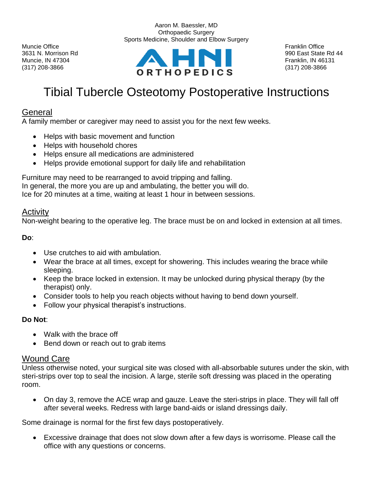



# Tibial Tubercle Osteotomy Postoperative Instructions

## General

A family member or caregiver may need to assist you for the next few weeks.

- Helps with basic movement and function
- Helps with household chores
- Helps ensure all medications are administered
- Helps provide emotional support for daily life and rehabilitation

Furniture may need to be rearranged to avoid tripping and falling. In general, the more you are up and ambulating, the better you will do. Ice for 20 minutes at a time, waiting at least 1 hour in between sessions.

#### Activity

Non-weight bearing to the operative leg. The brace must be on and locked in extension at all times.

**Do**:

- Use crutches to aid with ambulation.
- Wear the brace at all times, except for showering. This includes wearing the brace while sleeping.
- Keep the brace locked in extension. It may be unlocked during physical therapy (by the therapist) only.
- Consider tools to help you reach objects without having to bend down yourself.
- Follow your physical therapist's instructions.

#### **Do Not**:

- Walk with the brace off
- Bend down or reach out to grab items

#### Wound Care

Unless otherwise noted, your surgical site was closed with all-absorbable sutures under the skin, with steri-strips over top to seal the incision. A large, sterile soft dressing was placed in the operating room.

• On day 3, remove the ACE wrap and gauze. Leave the steri-strips in place. They will fall off after several weeks. Redress with large band-aids or island dressings daily.

Some drainage is normal for the first few days postoperatively.

• Excessive drainage that does not slow down after a few days is worrisome. Please call the office with any questions or concerns.